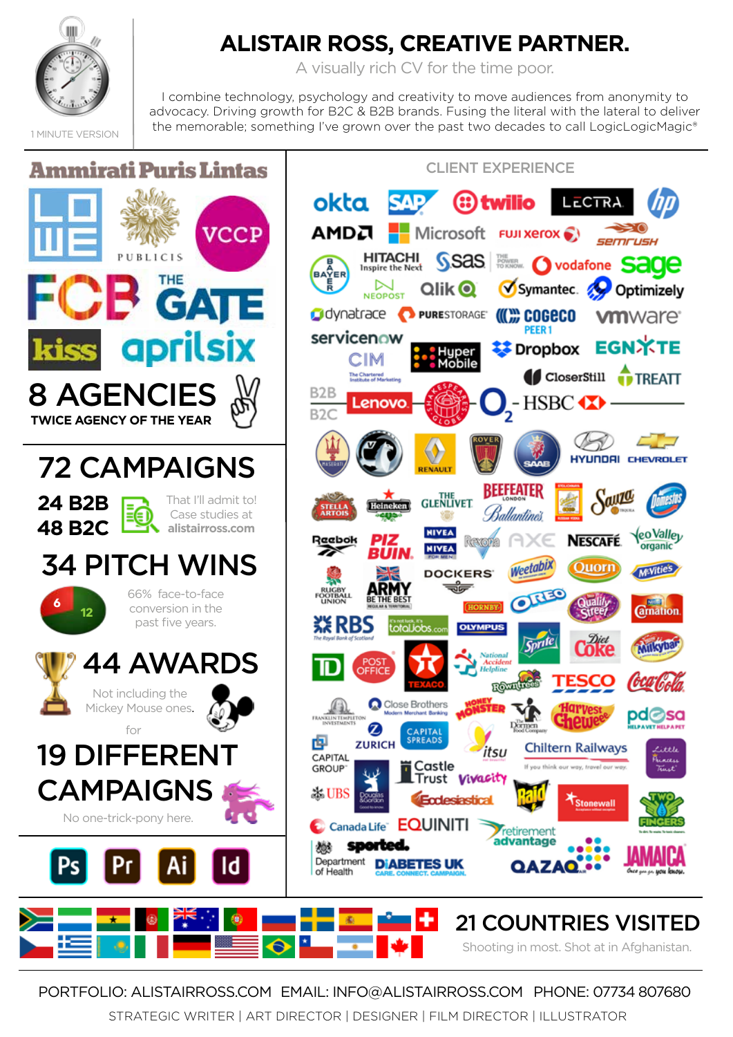

# **ALISTAIR ROSS, CREATIVE PARTNER.**

A visually rich CV for the time poor.

I combine technology, psychology and creativity to move audiences from anonymity to advocacy. Driving growth for B2C & B2B brands. Fusing the literal with the lateral to deliver the memorable; something I've grown over the past two decades to call LogicLogicMagic®

1 MINUTE VERSION



PORTFOLIO: ALISTAIRROSS.COMEMAIL: INFO@ALISTAIRROSS.COM PHONE: 07734 807680

STRATEGIC WRITER | ART DIRECTOR | DESIGNER | FILM DIRECTOR | ILLUSTRATOR

Shooting in most. Shot at in Afghanistan.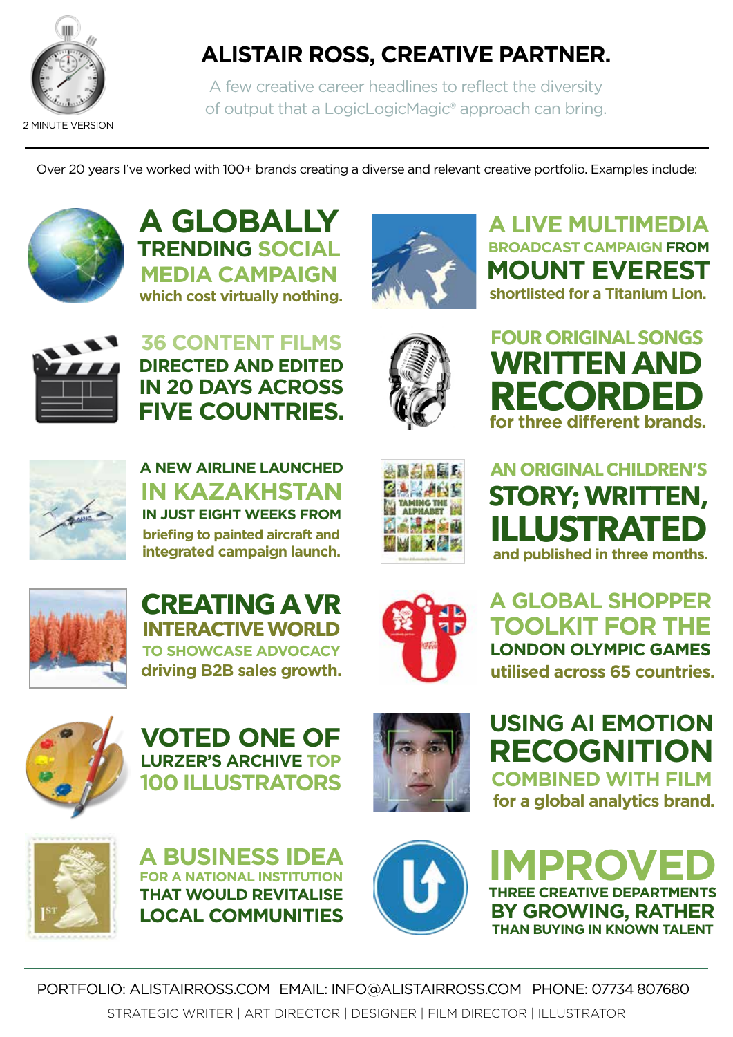

# **ALISTAIR ROSS, CREATIVE PARTNER.**

A few creative career headlines to reflect the diversity of output that a LogicLogicMagic® approach can bring.

Over 20 years I've worked with 100+ brands creating a diverse and relevant creative portfolio. Examples include:



**A GLOBALLY TRENDING SOCIAL MEDIA CAMPAIGN which cost virtually nothing.**



**36 CONTENT FILMS DIRECTED AND EDITED IN 20 DAYS ACROSS FIVE COUNTRIES.**



**A NEW AIRLINE LAUNCHED IN KAZAKHSTAN IN JUST EIGHT WEEKS FROM briefing to painted aircraft and integrated campaign launch.**







**A LIVE MULTIMEDIA BROADCAST CAMPAIGN FROM MOUNT EVEREST shortlisted for a Titanium Lion.**









**CREATING A VR INTERACTIVE WORLD TO SHOWCASE ADVOCACY driving B2B sales growth.**



**A GLOBAL SHOPPER TOOLKIT FOR THE LONDON OLYMPIC GAMES utilised across 65 countries.** 



**VOTED ONE OF LURZER'S ARCHIVE TOP 100 ILLUSTRATORS**



**USING AI EMOTION RECOGNITION COMBINED WITH FILM for a global analytics brand.**









PORTFOLIO: ALISTAIRROSS.COMEMAIL: INFO@ALISTAIRROSS.COM PHONE: 07734 807680 STRATEGIC WRITER | ART DIRECTOR | DESIGNER | FILM DIRECTOR | ILLUSTRATOR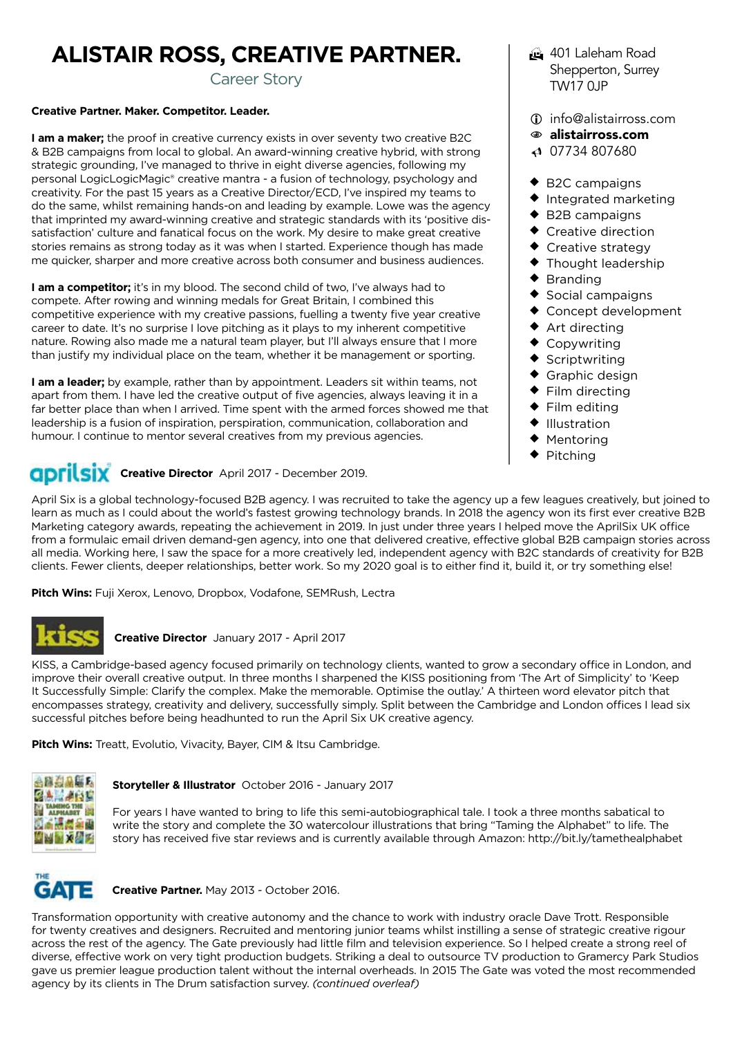# **ALISTAIR ROSS, CREATIVE PARTNER.**

Career Story

#### **Creative Partner. Maker. Competitor. Leader.**

**I am a maker;** the proof in creative currency exists in over seventy two creative B2C & B2B campaigns from local to global. An award-winning creative hybrid, with strong strategic grounding, I've managed to thrive in eight diverse agencies, following my personal LogicLogicMagic® creative mantra - a fusion of technology, psychology and creativity. For the past 15 years as a Creative Director/ECD, I've inspired my teams to do the same, whilst remaining hands-on and leading by example. Lowe was the agency that imprinted my award-winning creative and strategic standards with its 'positive dissatisfaction' culture and fanatical focus on the work. My desire to make great creative stories remains as strong today as it was when I started. Experience though has made me quicker, sharper and more creative across both consumer and business audiences.

**I am a competitor;** it's in my blood. The second child of two, I've always had to compete. After rowing and winning medals for Great Britain, I combined this competitive experience with my creative passions, fuelling a twenty five year creative career to date. It's no surprise I love pitching as it plays to my inherent competitive nature. Rowing also made me a natural team player, but I'll always ensure that I more than justify my individual place on the team, whether it be management or sporting.

**I am a leader;** by example, rather than by appointment. Leaders sit within teams, not apart from them. I have led the creative output of five agencies, always leaving it in a far better place than when I arrived. Time spent with the armed forces showed me that leadership is a fusion of inspiration, perspiration, communication, collaboration and humour. I continue to mentor several creatives from my previous agencies.

# **GDFILSIX** Creative Director April 2017 - December 2019.

 Shepperton, Surrey TW17 0JP i info@alistairross.com

 $401$  Laleham Road

- N alistairross.com
- $\triangleleft$  07734 807680
- $\triangle$  B2C campaigns
- $\bullet$  Integrated marketing
- $\triangle$  B2B campaigns
- $\bullet$  Creative direction
- $\bullet$  Creative strategy
- $\blacklozenge$  Thought leadership
- $\bullet$  Branding
- $\bullet$  Social campaigns
- $\bullet$  Concept development
- $\bullet$  Art directing
- $\bullet$  Copywriting
- $\triangleleft$  Scriptwriting
- $\bullet$  Graphic design
- $\blacklozenge$  Film directing
- $\blacklozenge$  Film editing
- ◆ Illustration
- $\bullet$  Mentoring
- Pitching

April Six is a global technology-focused B2B agency. I was recruited to take the agency up a few leagues creatively, but joined to learn as much as I could about the world's fastest growing technology brands. In 2018 the agency won its first ever creative B2B Marketing category awards, repeating the achievement in 2019. In just under three years I helped move the AprilSix UK office from a formulaic email driven demand-gen agency, into one that delivered creative, effective global B2B campaign stories across all media. Working here, I saw the space for a more creatively led, independent agency with B2C standards of creativity for B2B clients. Fewer clients, deeper relationships, better work. So my 2020 goal is to either find it, build it, or try something else!

**Pitch Wins:** Fuji Xerox, Lenovo, Dropbox, Vodafone, SEMRush, Lectra



#### **Creative Director** January 2017 - April 2017

KISS, a Cambridge-based agency focused primarily on technology clients, wanted to grow a secondary office in London, and improve their overall creative output. In three months I sharpened the KISS positioning from 'The Art of Simplicity' to 'Keep It Successfully Simple: Clarify the complex. Make the memorable. Optimise the outlay.' A thirteen word elevator pitch that encompasses strategy, creativity and delivery, successfully simply. Split between the Cambridge and London offices I lead six successful pitches before being headhunted to run the April Six UK creative agency.

**Pitch Wins:** Treatt, Evolutio, Vivacity, Bayer, CIM & Itsu Cambridge.



#### **Storyteller & Illustrator** October 2016 - January 2017

For years I have wanted to bring to life this semi-autobiographical tale. I took a three months sabatical to write the story and complete the 30 watercolour illustrations that bring "Taming the Alphabet" to life. The story has received five star reviews and is currently available through Amazon: http://bit.ly/tamethealphabet



#### **Creative Partner.** May 2013 - October 2016.

Transformation opportunity with creative autonomy and the chance to work with industry oracle Dave Trott. Responsible for twenty creatives and designers. Recruited and mentoring junior teams whilst instilling a sense of strategic creative rigour across the rest of the agency. The Gate previously had little film and television experience. So I helped create a strong reel of diverse, effective work on very tight production budgets. Striking a deal to outsource TV production to Gramercy Park Studios gave us premier league production talent without the internal overheads. In 2015 The Gate was voted the most recommended agency by its clients in The Drum satisfaction survey. *(continued overleaf)*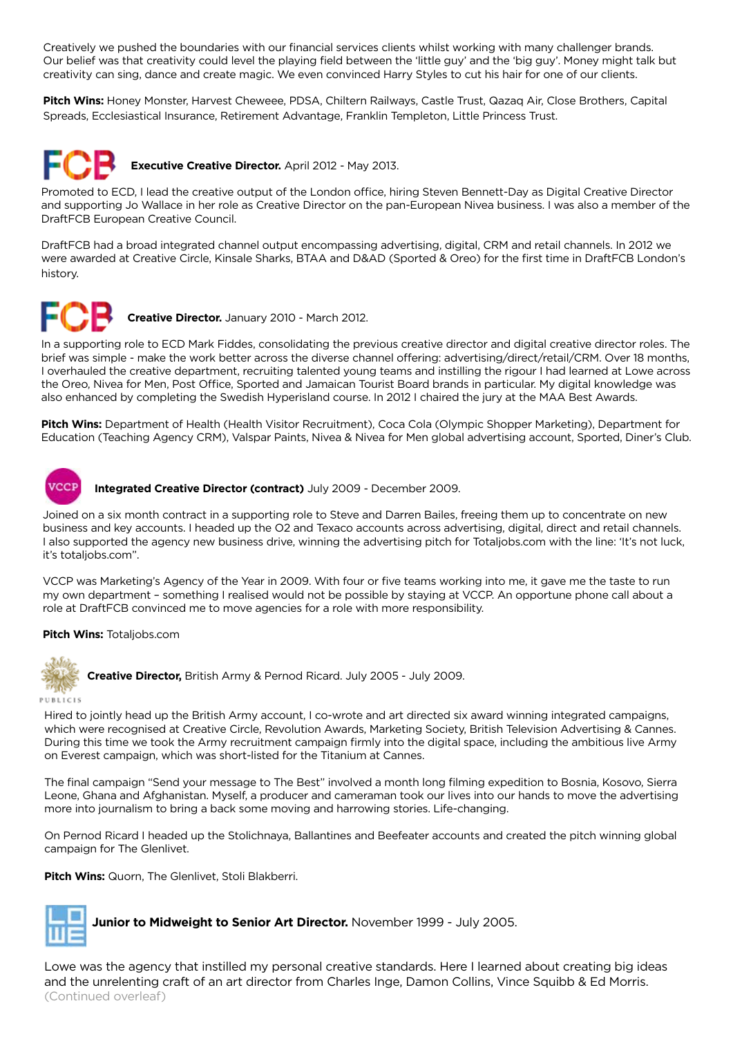Creatively we pushed the boundaries with our financial services clients whilst working with many challenger brands. Our belief was that creativity could level the playing field between the 'little guy' and the 'big guy'. Money might talk but creativity can sing, dance and create magic. We even convinced Harry Styles to cut his hair for one of our clients.

**Pitch Wins:** Honey Monster, Harvest Cheweee, PDSA, Chiltern Railways, Castle Trust, Qazaq Air, Close Brothers, Capital Spreads, Ecclesiastical Insurance, Retirement Advantage, Franklin Templeton, Little Princess Trust.



Promoted to ECD, I lead the creative output of the London office, hiring Steven Bennett-Day as Digital Creative Director and supporting Jo Wallace in her role as Creative Director on the pan-European Nivea business. I was also a member of the DraftFCB European Creative Council.

DraftFCB had a broad integrated channel output encompassing advertising, digital, CRM and retail channels. In 2012 we were awarded at Creative Circle, Kinsale Sharks, BTAA and D&AD (Sported & Oreo) for the first time in DraftFCB London's history.



**Creative Director.** January 2010 - March 2012.

In a supporting role to ECD Mark Fiddes, consolidating the previous creative director and digital creative director roles. The brief was simple - make the work better across the diverse channel offering: advertising/direct/retail/CRM. Over 18 months, I overhauled the creative department, recruiting talented young teams and instilling the rigour I had learned at Lowe across the Oreo, Nivea for Men, Post Office, Sported and Jamaican Tourist Board brands in particular. My digital knowledge was also enhanced by completing the Swedish Hyperisland course. In 2012 I chaired the jury at the MAA Best Awards.

**Pitch Wins:** Department of Health (Health Visitor Recruitment), Coca Cola (Olympic Shopper Marketing), Department for Education (Teaching Agency CRM), Valspar Paints, Nivea & Nivea for Men global advertising account, Sported, Diner's Club.



**VCCP** Integrated Creative Director (contract) July 2009 - December 2009.

Joined on a six month contract in a supporting role to Steve and Darren Bailes, freeing them up to concentrate on new business and key accounts. I headed up the O2 and Texaco accounts across advertising, digital, direct and retail channels. I also supported the agency new business drive, winning the advertising pitch for Totaljobs.com with the line: 'It's not luck, it's totaljobs.com".

VCCP was Marketing's Agency of the Year in 2009. With four or five teams working into me, it gave me the taste to run my own department – something I realised would not be possible by staying at VCCP. An opportune phone call about a role at DraftFCB convinced me to move agencies for a role with more responsibility.

#### **Pitch Wins:** Totaljobs.com



**Creative Director,** British Army & Pernod Ricard. July 2005 - July 2009.

#### PUBLICIS

Hired to jointly head up the British Army account, I co-wrote and art directed six award winning integrated campaigns, which were recognised at Creative Circle, Revolution Awards, Marketing Society, British Television Advertising & Cannes. During this time we took the Army recruitment campaign firmly into the digital space, including the ambitious live Army on Everest campaign, which was short-listed for the Titanium at Cannes.

The final campaign "Send your message to The Best" involved a month long filming expedition to Bosnia, Kosovo, Sierra Leone, Ghana and Afghanistan. Myself, a producer and cameraman took our lives into our hands to move the advertising more into journalism to bring a back some moving and harrowing stories. Life-changing.

On Pernod Ricard I headed up the Stolichnaya, Ballantines and Beefeater accounts and created the pitch winning global campaign for The Glenlivet.

**Pitch Wins:** Quorn, The Glenlivet, Stoli Blakberri.



**Junior to Midweight to Senior Art Director.** November 1999 - July 2005.

Lowe was the agency that instilled my personal creative standards. Here I learned about creating big ideas and the unrelenting craft of an art director from Charles Inge, Damon Collins, Vince Squibb & Ed Morris. (Continued overleaf)